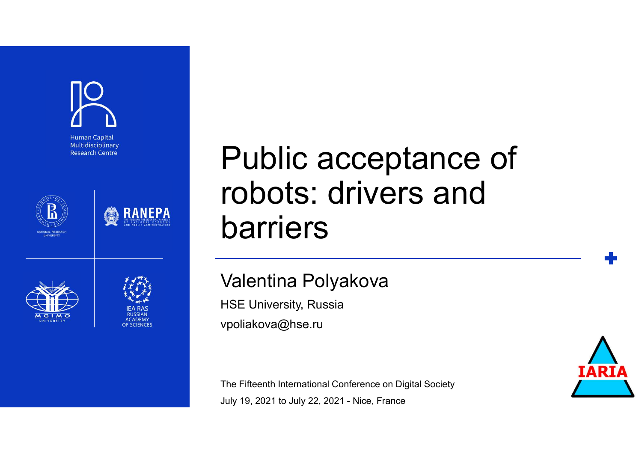







## Public acceptance of robots: drivers and barriers Darriers<br>
Valentina Polyakova<br>
HSE University, Russia<br>
Vpoliakova@hse.ru<br>
The Fifteenth International Conference on Digital Society<br>
July 19, 2021 to July 22, 2021 - Nice, France

### Valentina Polyakova

HSE University, Russia vpoliakova@hse.ru

The Fifteenth International Conference on Digital Society

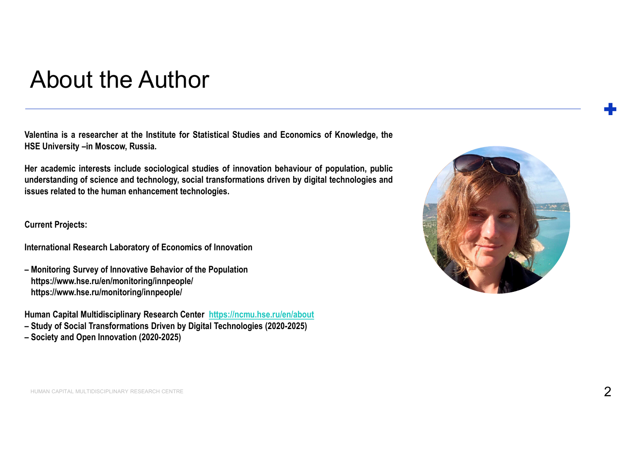### About the Author

About the Author<br>
Valentina is a researcher at the Institute for Statistical Studies and Economics of Knowledge, the<br>
Walentina is a researcher at the Institute for Statistical Studies and Economics of Knowledge, the<br>
Her

About the Author<br>Valentina is a researcher at the Institute for Statistical Studies and Economics of Knowledge,<br>HSE University –in Moscow, Russia.<br>Understanding of science and technology, social transformations behaviour o About the Author<br>Valentina is a researcher at the Institute for Statistical Studies and Economics of Knowledge, the<br>HSE University -in Moscow, Russia.<br>Her academic interests include sociological studies of innovation behav About the Author<br>Valentina is a researcher at the Institute for Statistical Studies and Econo<br>Valentina is a researcher at the Institute for Statistical Studies and Econo<br>HSE University -in Moscow, Russia.<br>Her academic int About the Author<br>
Valentina is a researcher at the Institute for Statistical Studies and Economics of Knowledge, the<br>
HSE University –in Moscow, Russia.<br>
Her academic interests include sociological studies of innovation be About the Author<br>
Valentina is a researcher at the Institute for Statistical Studies and Economics of Knowledge, the<br>
HSE University -in Moscow, Russia.<br>
Her academic interests include sociological studies of innovation be Valentina is a researcher at the Institute for Statistical Studies and Economics of Knowledge, the<br>HSE University –in Moscow, Russia.<br>Her academic interests include sociological studies of innovation behaviour of populatio HSE University –in Moscow, Russia.<br>HSE University –in Moscow, Russia.<br>Her academic interests include sociological studies of innovation behaviour of population, publi<br>understanding of science and technology, social transfo

https://www.hse.ru/en/monitoring/innpeople/ https://www.hse.ru/monitoring/innpeople/

- 
- 

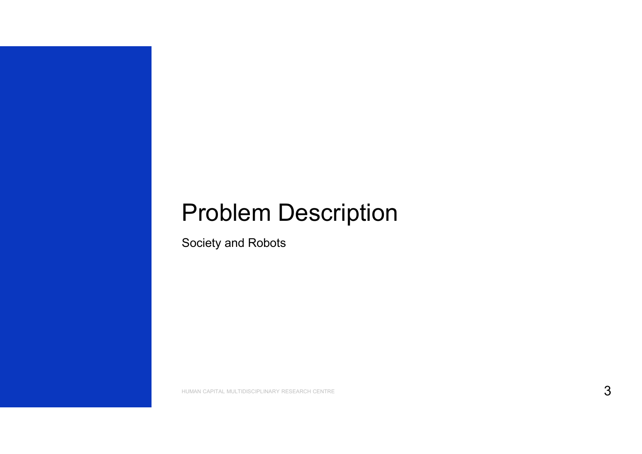## Problem Description

Society and Robots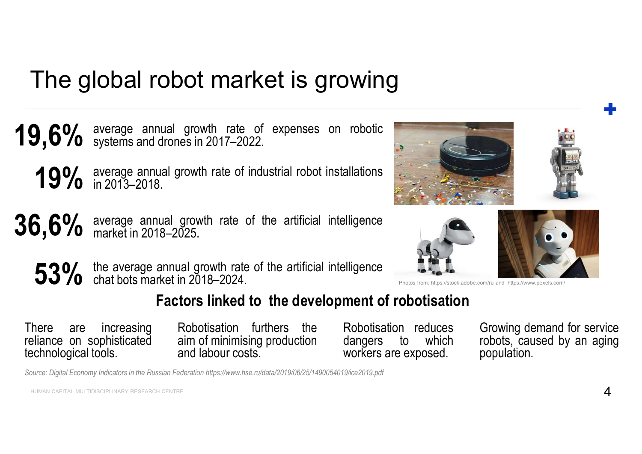## The global robot market is growing





### Factors linked to the development of robotisation

population.





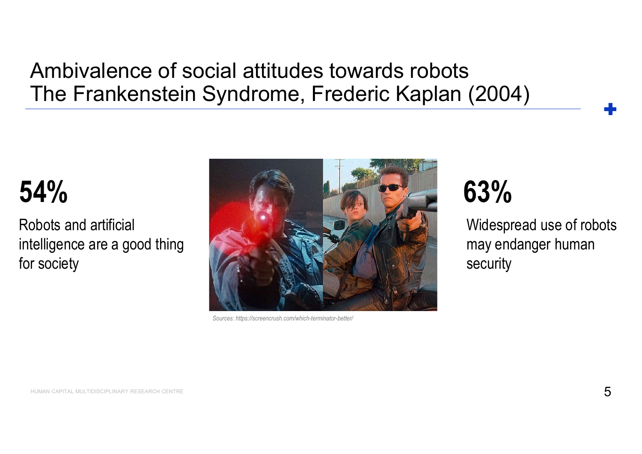# Ambivalence of social attitudes towards robots Ambivalence of social attitudes towards robots<br>The Frankenstein Syndrome, Frederic Kaplan (2004)<br>+

Robots and artificial intelligence are a good thing for society



Widespread use of robots may endanger human security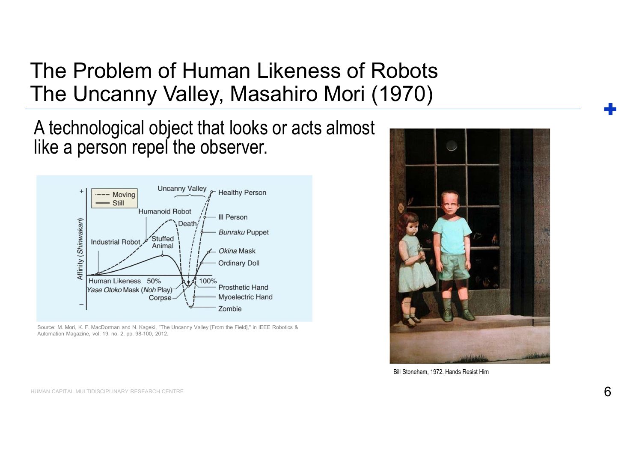The Problem of Human Likeness of Robots The Problem of Human Likeness of Robots<br>The Uncanny Valley, Masahiro Mori (1970)<br>A technological object that looks or acts almost<br>like a nerson repel the observer

A technological object that looks or acts almost like a person repel the observer.



Automation Magazine, vol. 19, no. 2, pp. 98-100, 2012.



Bill Stoneham, 1972. Hands Resist Him

HUMAN CAPITAL MULTIDISCIPLINARY RESEARCH CENTRE  $\mathsf{6}$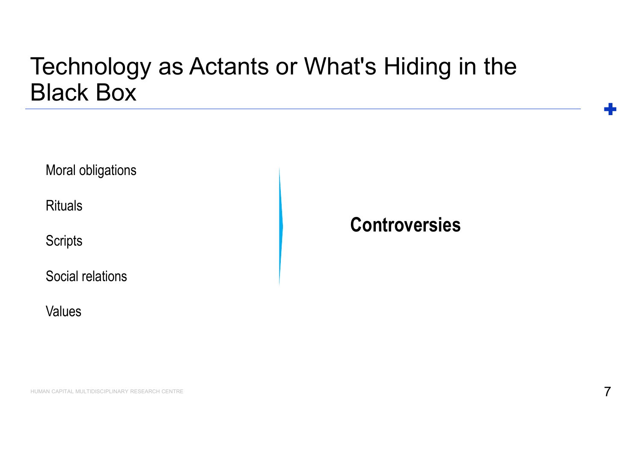# Technology as Actants or What's Hiding in the Black Box

Moral obligations

**Rituals** 

**Scripts** 

Social relations

Values

### **Controversies**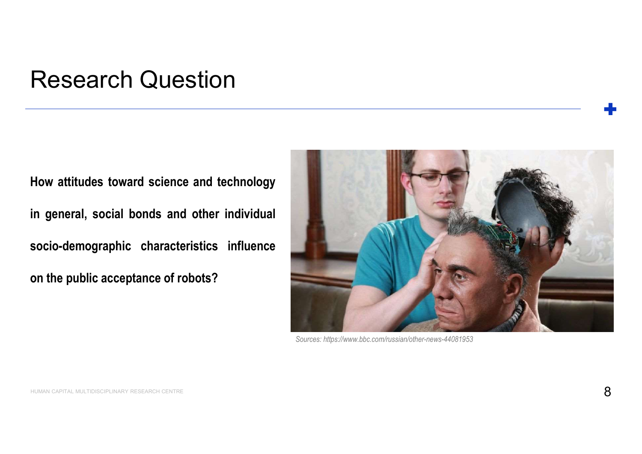### Research Question

Research Question<br>
How attitudes toward science and technology<br>
in general, social bonds and other individual<br>
socio-demographic characteristics influence Research Question<br>
How attitudes toward science and technology<br>
in general, social bonds and other individual<br>
socio-demographic characteristics influence<br>
on the public acceptance of robots? Nesearch Question<br>How attitudes toward science and technology<br>in general, social bonds and other individual<br>socio-demographic characteristics influence<br>on the public acceptance of robots?

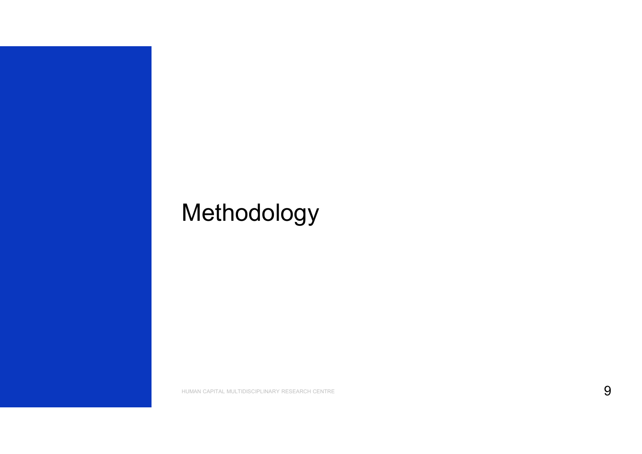## Methodology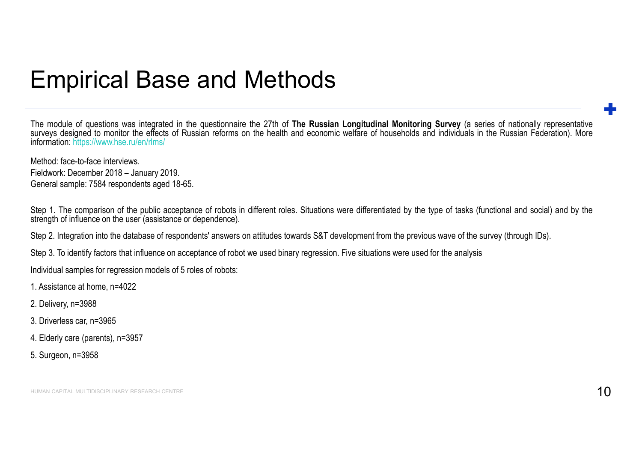### Empirical Base and Methods

Empirical Base and Methods<br>The module of questions was integrated in the questionnaire the 27th of The Russian Longitudinal Monitoring Survey (a series of nationally representative<br>surveys designed to monitor the effects o Empirical Base and Methods<br>The module of questions was integrated in the questionnaire the 27th of The Russian Longitudinal Monitoring Survey (a series of nationally representative<br>surveys designed to monitor the effects o information: https://www.hse.ru/en/rlms/ **Empirical Base and Methods**<br>The module of questions was integrated in the questionnaire the 27th of The Russian Losurveys designed to monitor the effects of Russian reforms on the health and economic we<br>information: https **Empirical Base and Methods**<br>The module of questions was integrated in the questionnaire the 27th of The Russian Longitudinal Monisurveys designed to monitor the effects of Russian reforms on the health and economic welfar Empirical Base and Methods<br>The module of questions was integrated in the questionnaire the 27th of The Russian Longitudinal Monitori<br>surveys designed to monitor the effects of Russian reforms on the health and economic wel Empirical Base and Methods<br>The module of questions was integrated in the questionnaire the 27th of The Russian Longitudinal Monitoring Survey (a series of nationally representative<br>surveys designed to months the reflects o Empirical Base and Methods<br>The module of questions was integrated in the questionnaire the 27th of The Russian Longitudinal Monitoring St<br>surveys designed to monitor the effects of Russian reforms on the health and economi The module of questions was integrated in the questionnaire the 27th of The Russian Longitudinal Monitoring Survey (a series of nationally representative analysing education into the delets of Russian reforms on the health Empirical Base and Methods<br>The module of questions was integrated in the questionnaire the 27th of The Russian Longitudinal Monitoring Survey (a series of nationally representative<br>surveys designed to monitor the effects o **Empirical Base and Methods**<br>The module of questions was integrated in the questionnaire the 27th of The Russian Longitudinal Monitoring Survey<br>surveys designed to monitor the effects of Russian reforms on the health and e 1. The module of questions was integrated in the questionnaire the 27th of The Russian Long<br>surveys designed to monitor the effects of Russian reforms on the health and economic welfa<br>information. https://www.hse.ru/en/rin The module of questions was integrated in the questionnaire the 27th of The Rus<br>surveys designed to monitor the effects of Russian reforms on the health and economic integral information: https://www.hse.ru/en/rims/<br>Method The module of questions was integrated in the questionnaire the 27th of The Russian<br>surveys designed to monitor the effects of Russian reforms on the health and economic<br>information: https://www.hse.ru/en/rlms/<br>Method: fac

information: https://www.hse.ru/en/rlms/<br>
Method: face-to-face interviews.<br>
Fieldwork: December 2018 – January 2019.<br>
General sample: 7584 respondents aged 18-65.<br>
Step 1. The comparison of the public acceptance of robots Method: face-to-face interviews.<br>Fieldwork: December 2018 – January 2019.<br>General sample: 7584 respondents aged 18-65.<br>Step 1. The comparison of the public acceptance of robots in different roles. Situati<br>strength of influ

- 
- 
- 
- 
-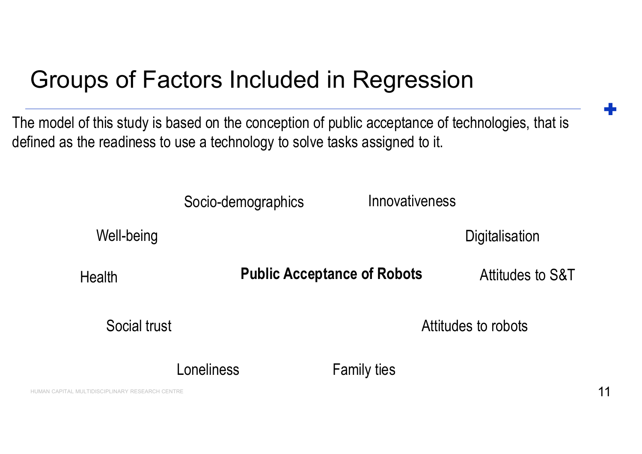## Groups of Factors Included in Regression

The model of this study is based on the conception of public acceptance of technologies, that is defined as the readiness to use a technology to solve tasks assigned to it.

Socio-demographics

Well-being

**Digitalisation** 

Health

Public Acceptance of Robots Socio-demographics Innovativeness<br>
Digitalisation<br>
Public Acceptance of Robots Attitudes to S&T<br>
Attitudes to robots<br>
Loneliness Family ties

Attitudes to S&T

Social trust

Attitudes to robots

Innovativeness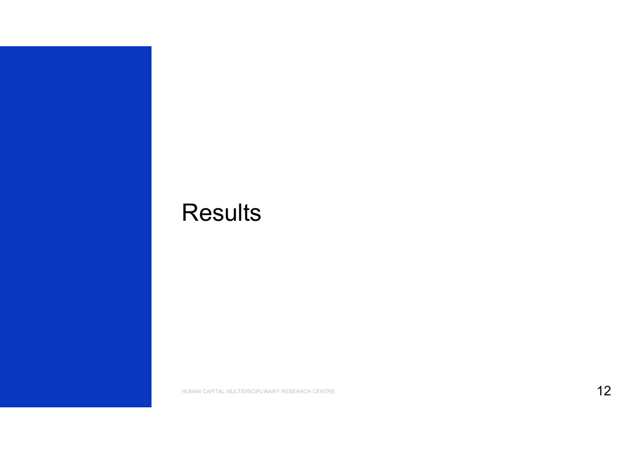### **Results**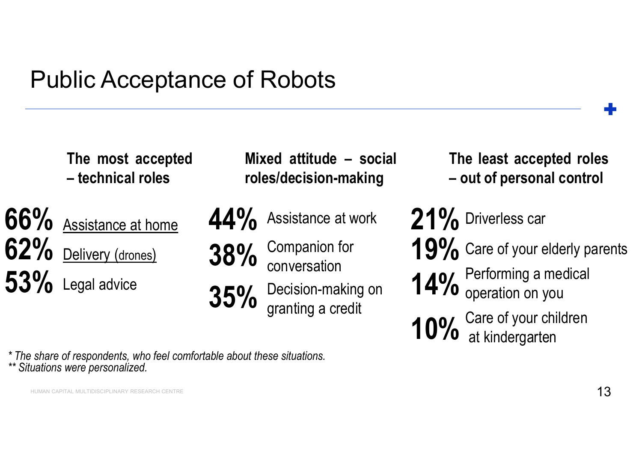## Public Acceptance of Robots olic Acceptance of Robots<br>
The most accepted Mixed attitude – soci<br>
— technical roles<br>
— 1.10 / Vice Acceptance of Robots<br>
— The most accepted Mixed attitude – socia<br>
— technical roles roles/decision-making<br>
— Acsistance at home **44%** Assistance at work

The share of respondents, who feel comfortable about these situations.<br>
The share of respondents, who feel comfortable about these situations.<br>
The share of respondents, who feel comfortable about these situations.<br>
The sh - technical roles<br>
66% Assistance at home<br>
62% Delivery (drones)<br>
53% Legal advice<br>
\*\* Situations were personalized.<br>
\*\* Situations were personalized. 66% Assistance at home 44% Ass 62% Delivery (drones) 3 53% Legal advice 35%

 $44\%$  Assistance at work 21% D

- 38% Companion for conversation
- $35\%$  Decision-making on 14 granting a credit

of Robots<br>
Mixed attitude – social<br>
The least accepted roles<br>
roles/decision-making<br>
C 10 ( roles/decision-making The least accepted roles<br>— out of personal control The least accepted roles<br>– out of personal control<br>(2) Driverless car

21% Driverless car Driverless car Robots<br>
ed attitude – social<br>
S/decision-making<br>
Assistance at work<br>
Companion for<br>
Companion for **21%** Driverless car<br>
Companion for **19%** Care of your elderly pronous<br>
Decision-making on **14%** Performing a medical<br>
Decis

- 19% Care of your elderly parent Care of your elderly parents
- **14%** Performing a medical<br>**14%** operation on you operation on you
- 10% Care of your children<br>10% at kindergarten at kindergarten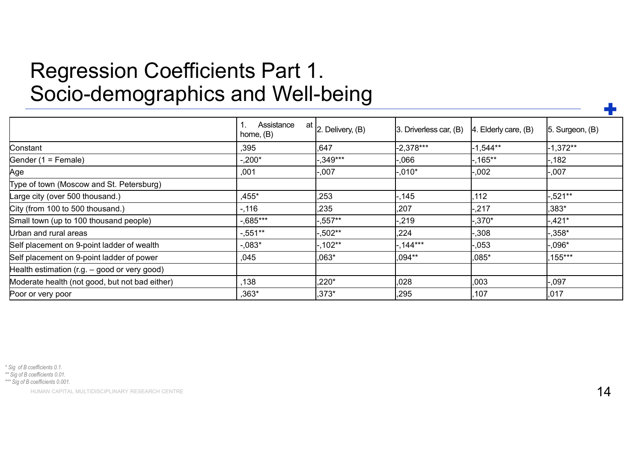### Regression Coefficients Part 1. Socio-demographics and Well-being

| Regression Coefficients Part 1.<br>Socio-demographics and Well-being |                         |                             |                        |                         |                 |  |  |  |  |  |  |  |  |  |
|----------------------------------------------------------------------|-------------------------|-----------------------------|------------------------|-------------------------|-----------------|--|--|--|--|--|--|--|--|--|
|                                                                      |                         |                             |                        |                         |                 |  |  |  |  |  |  |  |  |  |
|                                                                      |                         |                             |                        |                         |                 |  |  |  |  |  |  |  |  |  |
|                                                                      |                         |                             |                        |                         |                 |  |  |  |  |  |  |  |  |  |
|                                                                      |                         |                             |                        |                         |                 |  |  |  |  |  |  |  |  |  |
|                                                                      |                         |                             |                        |                         |                 |  |  |  |  |  |  |  |  |  |
|                                                                      |                         |                             |                        |                         |                 |  |  |  |  |  |  |  |  |  |
|                                                                      | Assistance<br>home, (B) | at<br>$ 2.$ Delivery, $(B)$ | 3. Driverless car, (B) | Elderly care, (B)<br>14 | 5. Surgeon, (B) |  |  |  |  |  |  |  |  |  |
| Constant                                                             | ,395                    | ,647                        | $-2,378***$            | $-1,544**$              | $-1,372**$      |  |  |  |  |  |  |  |  |  |
| Gender (1 = Female)                                                  | $-.200*$                | $-349***$                   | 066,                   | $-0.165**$              | $-182$          |  |  |  |  |  |  |  |  |  |
| Age                                                                  | ,001                    | $-0.007$                    | $.010*$                | -.002                   | $-0.007$        |  |  |  |  |  |  |  |  |  |
| Type of town (Moscow and St. Petersburg)                             |                         |                             |                        |                         |                 |  |  |  |  |  |  |  |  |  |
| Large city (over 500 thousand.)                                      | ,455*                   | ,253                        | .145                   | ,112                    | $.521**$        |  |  |  |  |  |  |  |  |  |
| City (from 100 to 500 thousand.)                                     | $-0.116$                | ,235                        | ,207                   | $-217$                  | ,383*           |  |  |  |  |  |  |  |  |  |
| Small town (up to 100 thousand people)                               | $-0.685***$             | $-0.557**$                  | -,219                  | $-.370*$                | $-0.421*$       |  |  |  |  |  |  |  |  |  |
| Urban and rural areas                                                | $-0.551**$              | $-0.502**$                  | ,224                   | -,308                   | $-0.358*$       |  |  |  |  |  |  |  |  |  |
| Self placement on 9-point ladder of wealth                           | $-.083*$                | $-102**$                    | $,144***$              | -,053                   | $-0.096*$       |  |  |  |  |  |  |  |  |  |
| Self placement on 9-point ladder of power                            | ,045                    | $,063*$                     | ,094**                 | ,085*                   | ,155***         |  |  |  |  |  |  |  |  |  |
| Health estimation (r.g. - good or very good)                         |                         |                             |                        |                         |                 |  |  |  |  |  |  |  |  |  |
|                                                                      | ,138                    | $,220*$                     | ,028                   | ,003                    | $-0.097$        |  |  |  |  |  |  |  |  |  |
| Moderate health (not good, but not bad either)                       |                         |                             | ,295                   | ,107                    | ,017            |  |  |  |  |  |  |  |  |  |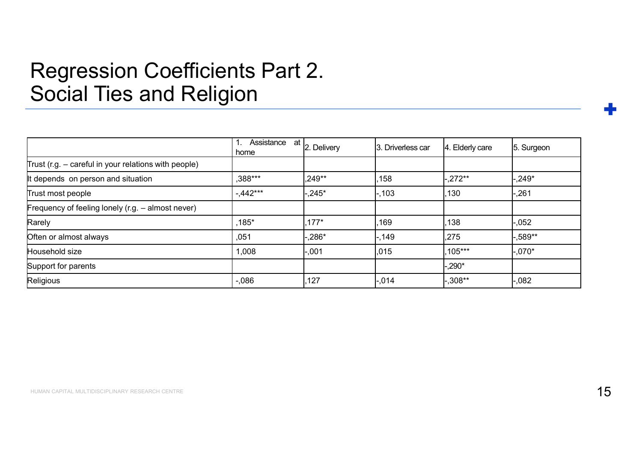### Regression Coefficients Part 2. Social Ties and Religion

| <b>Social Ties and Religion</b>                        |            |                                                         |                   |                 |            |
|--------------------------------------------------------|------------|---------------------------------------------------------|-------------------|-----------------|------------|
|                                                        |            |                                                         |                   |                 |            |
|                                                        |            |                                                         |                   |                 |            |
|                                                        | 1.<br>home | $\overline{\mathsf{Assistance}}$ at $\vert$ 2. Delivery | 3. Driverless car | 4. Elderly care | 5. Surgeon |
| Trust (r.g. $-$ careful in your relations with people) |            |                                                         |                   |                 |            |
| It depends on person and situation                     | ,388***    | $.249**$                                                | .158              | $-272**$        | $.249*$    |
|                                                        |            |                                                         |                   |                 |            |
| Trust most people                                      | $-.442***$ | $.245*$                                                 | $-103$            | ,130            | ,261       |
| Frequency of feeling lonely (r.g. - almost never)      |            |                                                         |                   |                 |            |
| Rarely                                                 | $,185*$    | $.177*$                                                 | .169              | ,138            | $-052$     |
| Often or almost always                                 | ,051       | $,286*$                                                 | $-149$            | ,275            | $.589**$   |
| Household size                                         | 1,008      | .001                                                    | ,015              | $.105***$       | $-.070*$   |
| Support for parents                                    |            |                                                         |                   | $-290*$         |            |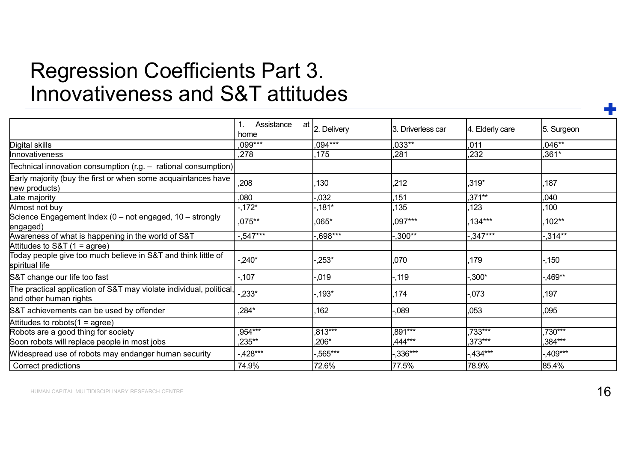### Regression Coefficients Part 3. Innovativeness and S&T attitudes

| Innovativeness and S&T attitudes                                                              |             |                   |                   |                 |            |
|-----------------------------------------------------------------------------------------------|-------------|-------------------|-------------------|-----------------|------------|
|                                                                                               |             |                   |                   |                 |            |
|                                                                                               |             |                   |                   |                 |            |
|                                                                                               | Assistance  | at<br>2. Delivery | 3. Driverless car | 4. Elderly care | 5. Surgeon |
|                                                                                               | home        |                   |                   |                 |            |
| Digital skills                                                                                | .099***     | ,094***           | $,033**$          | ,011            | $.046**$   |
| Innovativeness                                                                                | ,278        | ,175              | ,281              | ,232            | $,361*$    |
| Technical innovation consumption (r.g. $-$ rational consumption)                              |             |                   |                   |                 |            |
| Early majority (buy the first or when some acquaintances have<br>hew products)                | ,208        | ,130              | ,212              | ,319*           | 187        |
| Late majority                                                                                 | ,080        | $-0.032$          | ,151              | ,371**          | ,040       |
| Almost not buy                                                                                | $-.172*$    | $-181*$           | ,135              | 123             | ,100       |
| Science Engagement Index (0 - not engaged, 10 - strongly                                      | $.075***$   | $065*$            | .097***           | $.134***$       | .102**     |
| engaged)<br>Awareness of what is happening in the world of S&T                                | $-0.547***$ | $-0.698***$       | $.300**$          | $.347***$       | $-314**$   |
| Attitudes to S&T (1 = agree)                                                                  |             |                   |                   |                 |            |
| Today people give too much believe in S&T and think little of<br>spiritual life               | $-.240*$    | $-253*$           | ,070              | 179             | $-150$     |
| S&T change our life too fast                                                                  | $-0.107$    | $-0.19$           | $-119$            | $-0.300*$       | $.469**$   |
| The practical application of S&T may violate individual, political,<br>and other human rights | $-233*$     | $-193*$           | ,174              | -,073           | ,197       |
| S&T achievements can be used by offender                                                      | ,284*       | ,162              | $-0.089$          | ,053            | ,095       |
| Attitudes to robots $(1 =$ agree)                                                             |             |                   |                   |                 |            |
| Robots are a good thing for society                                                           | $.954***$   | $,813***$         | $.891***$         | $.733***$       | $.730***$  |
| Soon robots will replace people in most jobs                                                  | $,235***$   | $,206*$           | $,444***$         | $,373***$       | $,384***$  |
| Widespread use of robots may endanger human security                                          | $-428***$   | $.565***$         | $.336***$         | $-434***$       | $.409***$  |
|                                                                                               | 74.9%       | 72.6%             | 77.5%             | 78.9%           | 85.4%      |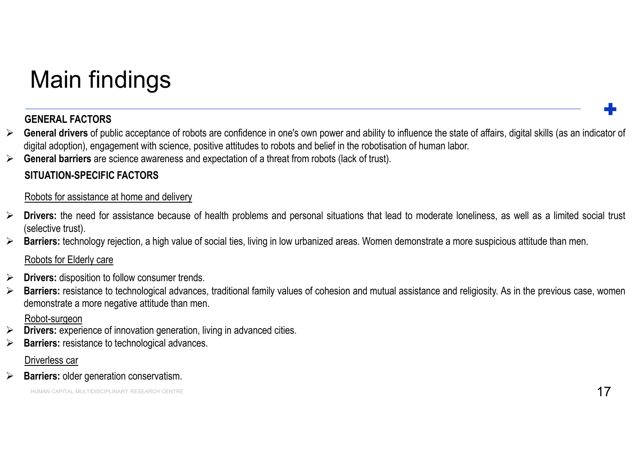## Main findings

- Main findings<br>
FENERAL FACTORS<br>
> GENERAL FACTORS<br>
(digital adoption), engagement with science, positive attitudes to robots and belief in the robotisation of human labor.<br>
Seneral draption), engagement with science awaren Main findings<br>
GENERAL FACTORS<br>
General drivers of public acceptance of robots are confidence in one's own power and ability to influence the state of affairs, digital skills (as an indicator of<br>
General darriers are scien Main findings<br>
GENERAL FACTORS<br>
> General drivers of public acceptance of robots are confidence in one's own power and ability to influence the state of affairs, digital skills (as an indicator<br>  $\triangleright$  General barriers are Main findings<br>
GENERAL FACTORS<br>
GENERAL FACTORS<br>
General drivers of public acceptance of robots are confidence in one's own<br>
digital adoption), engagement with science, positive attitudes to robots and b<br>
General barriers **Main findings**<br> **CENERAL FACTORS**<br> **GENERAL FACTORS**<br> **GENERAL FACTORS**<br> **GENERAL FACTORS**<br> **GENERAL FACTORS**<br> **GENERAL BECIFIC FACTORS**<br> **SITUATION-SPECIFIC FACTORS**<br>
Robots for assistance at home and delivery<br>
Privers: Main findings<br>
≻ General drivers of public acceptance of robots are confidence in one's own power and ability to influence the state of affairs, digital skills (as an indicator of<br>
⇒ General trivers of public acceptance o **Main findings**<br> **GENERAL FACTORS**<br> **GENERAL FACTORS**<br> **GENERAL FACTORS**<br> **General drivers** of public acceptance of robots are confidence in one's ow<br> **General barriers** are science awareness and expectation of a threat fr Main findings<br>
Seneral drivers of public acceptance of robots are confidence in one's own power and ability to influence the state of affairs, digital skills (as an indicator of<br>
biglial adoption, engagement with science, **Main findings**<br> **CENERAL FACTORS**<br> **CENERAL FACTORS**<br> **CENERAL FACTORS**<br> **CENERAL FACTORS**<br> **CENERAL FACTORS**<br> **CENERAL DEFECTION**<br> **CENERAL DEFECTIONS**<br> **CENERAL DEFECTIONS**<br> **ROBOTS FOR ACTORS**<br> **ROBOTS for assistance a Main findings**<br> **ENERAL FACTORS**<br> **ENERAL FACTORS**<br> **EGNERAL FACTORS**<br> **EGNERAL FACTORS**<br> **EGNERAL FACTORS**<br> **EGNERAL DOM** care science awareness and expectation of a threat from robots (le<br> **SITUATION-SPECIFIC FACTORS**<br> Drivers: disposition to follow consumer trends. GENERAL FACTORS<br>
→ General drivers of public acceptance of robots are confidence in one's own power and ability to influence the state of affairs, digital skills (as an indicator of<br>
⇒ General arriers are science awarenes **GENERAL FACTORS**<br> **GENERAL FACTORS**<br> **GENERAL FACTORS**<br> **General drivers** of public acceptance of robots are confidence in one's own power and ability to influence th<br>
digital adoption), engagement with science, positive
- 

- to eneral arrivers of public acceptance of robots are cominence in ones own power and ability to mitulience the state of arrians, digit<br>
digital adoption), engagement with science, positive attitudes to robots and belief digital adoption), engagement with science, positive attitudes to robots and belief in the robotsation of<br>
Seneral barriers: are science awareness and expectation of a threat from robots (lack of trust).<br>
SITUATION-SPECIFI SITUATION-SPECIFIC FACTORS<br>
Robots for assistance at home and delivery<br>
Drivers: the need for assistance because of health problems and person<br>
(selective trust).<br>
Barriers: technology rejection, a high value of social tie Barriers: the need for assistance at home and delivery<br>
brivers: the need for assistance because of health problems and personal situations the<br>
(selective trust).<br>
Barriers: technology rejection, a high value of social t
- 

- 
- 

### Robot-surgeon

- 
-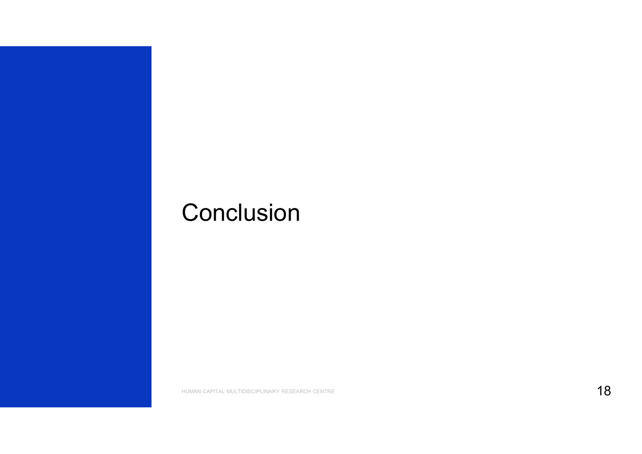## **Conclusion**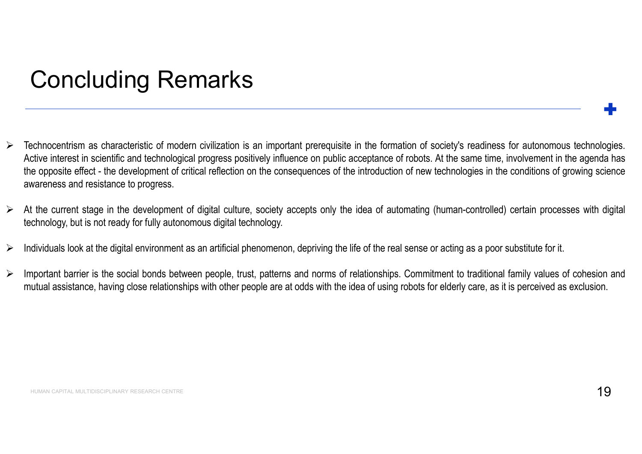## Concluding Remarks

- Concluding Remarks<br>
≻ Technocentrism as characteristic of modern civilization is an important prerequisite in the formation of society's readiness for autonomous technologies.<br>
Active interest in scientific and technologi Concluding Remarks<br>
Technocentrism as characteristic of modern civilization is an important prerequisite in the formation of society's readiness for autonomous technologies.<br>
Active interest in scientific and technological **CONCluding Remarks**<br>
Technocentrism as characteristic of modern civilization is an important prerequisite in the formation of society's readiness for autonomous technologies.<br>
Active interest in scientific and technologic **Concluding Remarks**<br> **Example 18 Concluding Concerne** civilization is an important prerequisite in the fo<br>
Active interest in scientific and technological progress positively influence on public acceptance<br>
the opposite e A<br>
A Technocentrism as characteristic of modern civilization is an important prerequisite in the formation of society's readiness for autonomous technologies.<br>
Active interest in scientific and technological progress pos **Concluding Remarks**<br>
Technocentrism as characteristic of modern civilization is an important prerequisite in the formation of society's readily<br>
Active interest in scientific and technological progress positively influenc <table>\n<tbody>\n<tr>\n<th>Concluding Remarks</th>\n<th>→</th>\n</tr>\n<tr>\n<td>→</td>\n<td>7</td>\n</tr>\n<tr>\n<td>→</td>\n<td>7</td>\n</tr>\n<tr>\n<td>→</td>\n<td>2</td>\n</tr>\n<tr>\n<td>→</td>\n<td>2</td>\n</tr>\n<tr>\n<td>→</td>\n<td>2</td>\n</tr>\n<tr>\n<td>→</td>\n<td>2</td>\n</tr>\n<tr>\n<td>→</td>\n<td>2</td>\n</tr>\n<tr>\n<td>→</td>\n<td>2</td>\n</tr>\n<tr>\n<td>→</td>\n<td>2</td>\n</tr>\n<tr>\n <table>\n<tbody>\n<tr>\n<th>COMCIUGING Kemarks</th>\n</tr>\n<tr>\n<td>→</td>\n<td>7</td>\n</tr>\n<tr>\n<td>7</td>\n<td>7</td>\n</tr>\n<tr>\n<td>7</td>\n<td>7</td>\n</tr>\n<tr>\n<td>8</td>\n<td>7</td>\n</tr>\n<tr>\n<td>9</td>\n<td>1</td>\n</tr>\n<tr>\n<td>10</td>\n<td>1</td>\n</tr>\n<tr>\n<td>11</td>\n<td>2</td>\n</tr>\n<tr>\n<td>12</td>\n<td>3</td>\n</tr>\n<tr>\n<td>23</td>\n<td>4</td>\n</tr>\n<tr>\ mechrocentrism as characteristic of modern civilization is an important prerequisite in the formation of society's readiness for autonomous technologies,<br>Active interest in scientific and technological progress positively
- 
- 
-